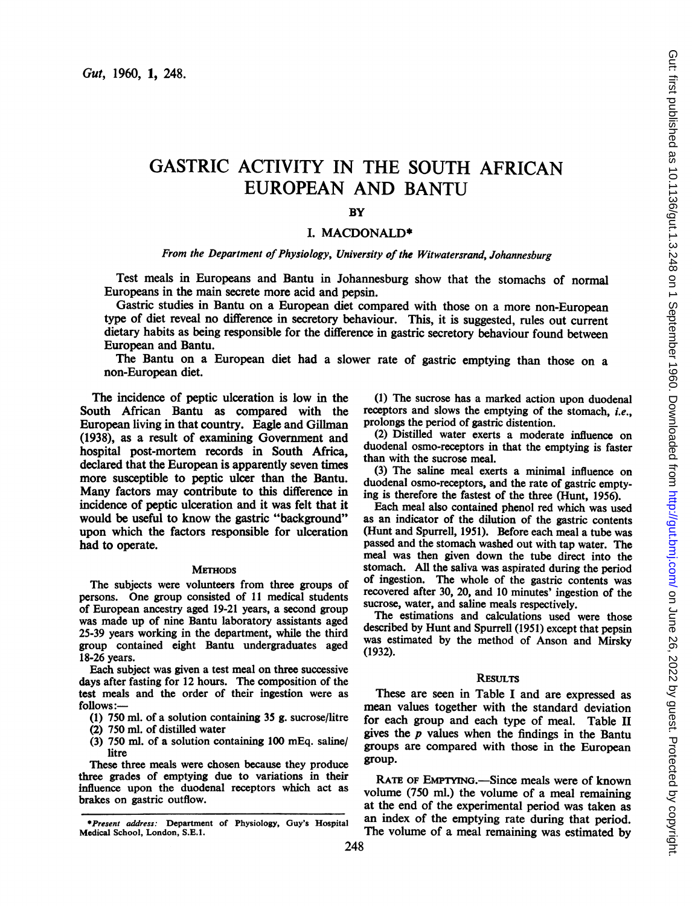# GASTRIC ACTIVITY IN THE SOUTH AFRICAN EUROPEAN AND BANTU

# **BY**

## I. MACDONALD\*

## From the Department of Physiology, University of the Witwatersrand, Johannesburg

Test meals in Europeans and Bantu in Johannesburg show that the stomachs of normal Europeans in the main secrete more acid and pepsin.

Gastric studies in Bantu on a European diet compared with those on a more non-European type of diet reveal no difference in secretory behaviour. This, it is suggested, rules out current dietary habits as being responsible for the difference in gastric secretory behaviour found between European and Bantu.

The Bantu on a European diet had a slower rate of gastric emptying than those on a non-European diet.

The incidence of peptic ulceration is low in the South African Bantu as compared with the European living in that country. Eagle and Gillman (1938), as a result of examining Government and hospital post-mortem records in South Africa, declared that the European is apparently seven times more susceptible to peptic ulcer than the Bantu. Many factors may contribute to this difference in incidence of peptic ulceration and it was felt that it would be useful to know the gastric "background" upon which the factors responsible for ulceration had to operate.

#### **METHODS**

The subjects were volunteers from three groups of persons. One group consisted of <sup>11</sup> medical students of European ancestry aged 19-21 years, a second group was made up of nine Bantu laboratory assistants aged 25-39 years working in the department, while the third group contained eight Bantu undergraduates aged 18-26 years.

Each subject was given a test meal on three successive days after fasting for 12 hours. The composition of the test meals and the order of their ingestion were as follows:-

(1) 750 ml. of a solution containing 35 g. sucrose/litre

- (2) 750 ml. of distilled water
- (3) 750 ml. of a solution containing 100 mEq. saline/ litre

These three meals were chosen because they produce three grades of emptying due to variations in their influence upon the duodenal receptors which act as brakes on gastric outflow.

(I) The sucrose has a marked action upon duodenal receptors and slows the emptying of the stomach, i.e., prolongs the period of gastric distention.

(2) Distilled water exerts a moderate influence on duodenal osmo-receptors in that the emptying is faster than with the sucrose meal.

(3) The saline meal exerts a minimal influence on duodenal osmo-receptors, and the rate of gastric emptying is therefore the fastest of the three (Hunt, 1956).

Each meal also contained phenol red which was used as an indicator of the dilution of the gastric contents (Hunt and Spurrell, 1951). Before each meal a tube was passed and the stomach washed out with tap water. The meal was then given down the tube direct into the stomach. All the saliva was aspirated during the period of ingestion. The whole of the gastric contents was recovered after 30, 20, and 10 minutes' ingestion of the sucrose, water, and saline meals respectively.

The estimations and calculations used were those described by Hunt and Spurrell (1951) except that pepsin was estimated by the method of Anson and Mirsky (1932).

## **RESULTS**

These are seen in Table I and are expressed as mean values together with the standard deviation for each group and each type of meal. Table II gives the  $p$  values when the findings in the Bantu groups are compared with those in the European group.

RATE OF EMPTYING.—Since meals were of known volume (750 ml.) the volume of a meal remaining at the end of the experimental period was taken as an index of the emptying rate during that period. The volume of a meal remaining was estimated by

<sup>\*</sup>Present address: Department of Physiology, Guy's Hospital Medical School, London, S.E.I.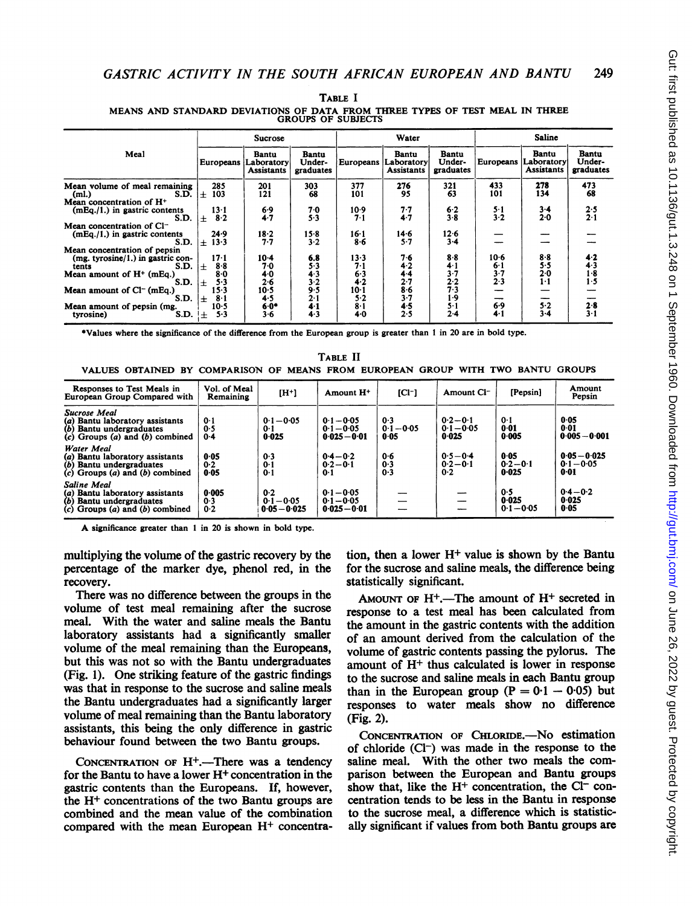|                                                                                                                     | <b>Sucrose</b>                                     |                                                 |                              | Water                    |                                          |                              | <b>Saline</b>        |                                          |                              |
|---------------------------------------------------------------------------------------------------------------------|----------------------------------------------------|-------------------------------------------------|------------------------------|--------------------------|------------------------------------------|------------------------------|----------------------|------------------------------------------|------------------------------|
| Meal                                                                                                                | Europeans                                          | <b>Bantu</b><br>Laboratory<br><b>Assistants</b> | Bantu<br>Under-<br>graduates | Europeans                | Bantu<br>Laboratory<br><b>Assistants</b> | Bantu<br>Under-<br>graduates | Europeans            | Bantu<br>Laboratory<br><b>Assistants</b> | Bantu<br>Under-<br>graduates |
| Mean volume of meal remaining<br>S.D.<br>(ml.)                                                                      | 285<br>103<br>$\pm$                                | 201<br>121                                      | 303<br>68                    | 377<br>101               | 276<br>95                                | 321<br>63                    | 433<br>101           | 278<br>134                               | 473<br>68                    |
| Mean concentration of $H^+$<br>$(mEq. / 1.)$ in gastric contents<br>S.D.                                            | $13-1$<br>8.2<br>$\pm$                             | 6.9<br>4.7                                      | 70<br>5.3                    | 10.9<br>7.1              | $7 - 7$<br>4.7                           | 6.2<br>$3 - 8$               | $5-1$<br>3.2         | $3-4$<br>$2 - 0$                         | 2.5<br>$2 - 1$               |
| Mean concentration of Cl <sup>-</sup><br>$(mEq. / 1.)$ in gastric contents<br>S.D.                                  | 24.9<br>$\pm$ 13.3                                 | 18.2<br>7.7                                     | $15-8$<br>3.2                | 16-1<br>$8 - 6$          | 14.6<br>5.7                              | 12.6<br>$3-4$                |                      |                                          |                              |
| Mean concentration of pepsin<br>$(mg. tyrosine/1.)$ in gastric con-<br>S.D.<br>tents<br>Mean amount of $H^+$ (mEq.) | 17-1<br>$8-8$<br>士<br>80                           | $10-4$<br>70                                    | 6.8<br>5.3                   | $13-3$<br>$7 - 1$<br>6.3 | 76<br>4.2<br>44                          | $8-8$<br>41<br>3.7           | $10-6$<br>6.1<br>3.7 | 8.8<br>5.5<br>2.0                        | 4.2<br>4.3<br>$1-8$          |
| S.D.<br>Mean amount of $Cl-$ (mEq.)                                                                                 | 5.3<br>$\ddot{}$<br>153                            | 40<br>2.6<br>10.5                               | 4.3<br>$3-2$<br>9.5          | 4.2<br>$10-1$            | 2.7<br>$8-6$<br>3.7                      | 2.2<br>7.3<br>1.9            | 2.3                  | $1-1$                                    | 1.5                          |
| S.D.<br>Mean amount of pepsin (mg.<br>S.D.<br>tyrosine)                                                             | $8 - 1$<br>$\ddot{}$<br>$10-5$<br>$5 - 3$<br>$\pm$ | 4.5<br>$6 - 0*$<br>$3-6$                        | $2 - 1$<br>4.1<br>4.3        | 5.2<br>8·1<br>4.0        | 4.5<br>2.5                               | $5 - 1$<br>$2 - 4$           | 6.9<br>$4 - 1$       | 5.2<br>$3 - 4$                           | 2.8<br>$3 - 1$               |

TABLE <sup>I</sup> MEANS AND STANDARD DEVIATIONS OF DATA FROM THREE TYPES OF TEST MEAL IN THREE GROUPS OF SUBJECTS

Values where the significance of the difference from the European group is greater than <sup>1</sup> in 20 are in bold type.

TABLE II VALUES OBTAINED BY COMPARISON OF MEANS FROM EUROPEAN GROUP WITH TWO BANTU GROUPS

| Responses to Test Meals in<br>European Group Compared with                                                                  | Vol. of Meal<br>Remaining | $[H^+]$                               | Amount H <sup>+</sup>                          | $ICI-1$                     | Amount Cl <sup>-</sup>               | [Pepsin]                     | Amount<br>Pepsin                       |
|-----------------------------------------------------------------------------------------------------------------------------|---------------------------|---------------------------------------|------------------------------------------------|-----------------------------|--------------------------------------|------------------------------|----------------------------------------|
| <b>Sucrose Meal</b><br>(a) Bantu laboratory assistants<br>(b) Bantu undergraduates<br>$(c)$ Groups $(a)$ and $(b)$ combined | 0.1<br>0.5<br>0.4         | $0.1 - 0.05$<br>0.1<br>0.025          | $0.1 - 0.05$<br>$0.1 - 0.05$<br>$0.025 - 0.01$ | 0.3<br>$0.1 - 0.05$<br>0.05 | $0.2 - 0.1$<br>$0.1 - 0.05$<br>0.025 | 0·1<br>0.01<br>0.005         | 0.05<br>0.01<br>$0.005 - 0.001$        |
| <b>Water Meal</b><br>(a) Bantu laboratory assistants<br>(b) Bantu undergraduates<br>$(c)$ Groups $(a)$ and $(b)$ combined   | 0.05<br>0.2<br>0.05       | 0.3<br>0.1<br>0.1                     | $0.4 - 0.2$<br>$0.2 - 0.1$<br>0.1              | 0.6<br>0.3<br>0.3           | $0.5 - 0.4$<br>$0.2 - 0.1$<br>0.2    | 0.05<br>$0.2 - 0.1$<br>0.025 | $0.05 - 0.025$<br>$0.1 - 0.05$<br>0.01 |
| Saline Meal<br>(a) Bantu laboratory assistants<br>(b) Bantu undergraduates<br>$(c)$ Groups $(a)$ and $(b)$ combined         | 0.005<br>0.3<br>0.2       | 0.2<br>$0.1 - 0.05$<br>$0.05 - 0.025$ | $0.1 - 0.05$<br>$0.1 - 0.05$<br>$0.025 - 0.01$ |                             |                                      | 0.5<br>0.025<br>$0.1 - 0.05$ | $0.4 - 0.2$<br>0.025<br>0.05           |

A significance greater than <sup>1</sup> in <sup>20</sup> is shown in bold type.

multiplying the volume of the gastric recovery by the percentage of the marker dye, phenol red, in the recovery.

There was no difference between the groups in the volume of test meal remaining after the sucrose meal. With the water and saline meals the Bantu laboratory assistants had a significantly smaller volume of the meal remaining than the Europeans, but this was not so with the Bantu undergraduates (Fig. 1). One striking feature of the gastric findings was that in response to the sucrose and saline meals the Bantu undergraduates had a significantly larger volume of meal remaining than the Bantu laboratory assistants, this being the only difference in gastric behaviour found between the two Bantu groups.

CONCENTRATION OF  $H^+$ . There was a tendency for the Bantu to have a lower  $H<sup>+</sup>$  concentration in the gastric contents than the Europeans. If, however, the H+ concentrations of the two Bantu groups are combined and the mean value of the combination compared with the mean European H+ concentration, then a lower  $H<sup>+</sup>$  value is shown by the Bantu for the sucrose and saline meals, the difference being statistically significant.

AMOUNT OF  $H^+$ .—The amount of  $H^+$  secreted in response to a test meal has been calculated from the amount in the gastric contents with the addition of an amount derived from the calculation of the volume of gastric contents passing the pylorus. The amount of H+ thus calculated is lower in response to the sucrose and saline meals in each Bantu group than in the European group  $(P = 0.1 - 0.05)$  but responses to water meals show no difference (Fig. 2).

CONCENTRATION OF CHLORIDE.-No estimation of chloride  $(Cl^-)$  was made in the response to the saline meal. With the other two meals the comparison between the European and Bantu groups show that, like the  $H^+$  concentration, the Cl<sup>-</sup> concentration tends to be less in the Bantu in response to the sucrose meal, a difference which is statistically significant if values from both Bantu groups are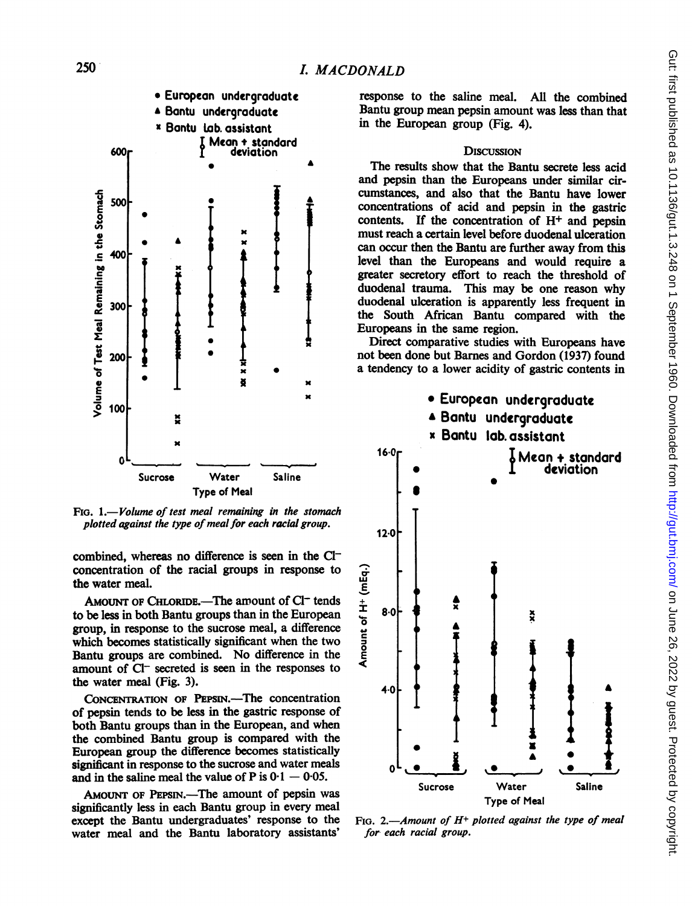

FIG. 1.-Volume of test meal remaining in the stomach plotted against the type of meal for each racial group.

combined, whereas no difference is seen in the  $Cl$ concentration of the racial groups in response to the water meal.

AMOUNT OF CHLORIDE.—The amount of Cl<sup>-</sup> tends to be less in both Bantu groups than in the European group, in response to the sucrose meal, a difference which becomes statistically significant when the two Bantu groups are combined. No difference in the amount of Cl<sup>-</sup> secreted is seen in the responses to the water meal (Fig. 3).

CONCENTRATION OF PEPSIN.-The concentration of pepsin tends to be less in the gastric response of both Bantu groups than in the European, and when the combined Bantu group is compared with the European group the difference becomes statistically significant in response to the sucrose and water meals and in the saline meal the value of P is  $0.1 - 0.05$ .

AMOUNT OF PEPSIN.-The amount of pepsin was significantly less in each Bantu group in every meal except the Bantu undergraduates' response to the water meal and the Bantu laboratory assistants'

response to the saline meal. All the combined Bantu group mean pepsin amount was less than that in the European group (Fig. 4).

#### **DISCUSSION**

The results show that the Bantu secrete less acid and pepsin than the Europeans under similar circumstances, and also that the Bantu have lower concentrations of acid and pepsin in the gastric contents. If the concentration of  $H<sup>+</sup>$  and pepsin must reach a certain level before duodenal ulceration can occur then the Bantu are further away from this level than the Europeans and would require a greater secretory effort to reach the threshold of duodenal trauma. This may be one reason why duodenal ulceration is apparently less frequent in the South African Bantu compared with the Europeans in the same region.

Direct comparative studies with Europeans have not been done but Barnes and Gordon (1937) found a tendency to a lower acidity of gastric contents in



FIG. 2.-Amount of  $H^+$  plotted against the type of meal for each racial group.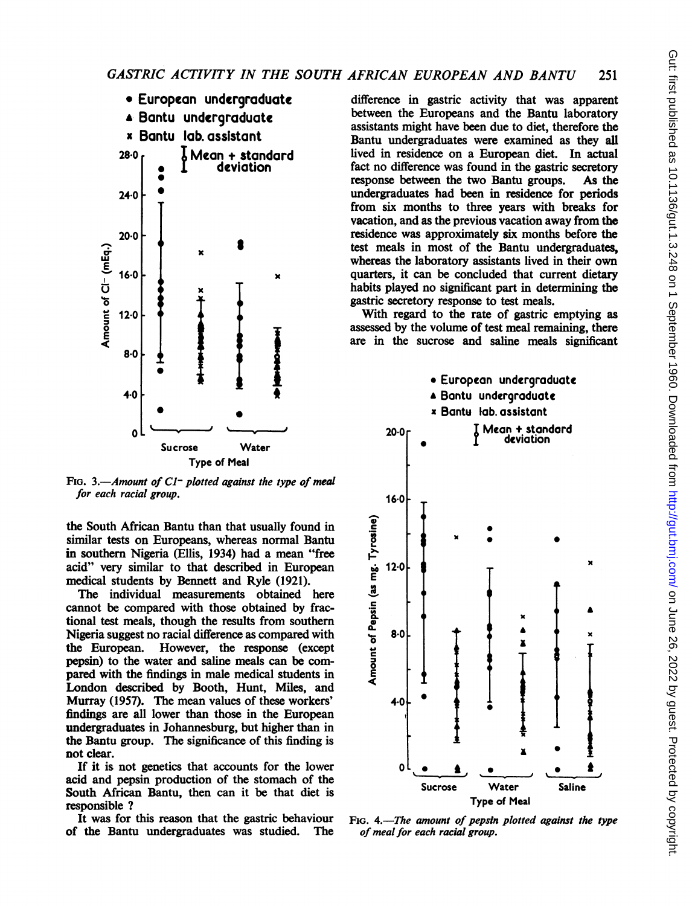

FIG. 3.-Amount of  $CI^-$  plotted against the type of meal for each racial group.

the South African Bantu than that usually found in similar tests on Europeans, whereas normal Bantu in southern Nigeria (Ellis, 1934) had a mean "free acid" very similar to that described in European medical students by Bennett and Ryle (1921).

The individual measurements obtained here cannot be compared with those obtained by fractional test meals, though the results from southern Nigeria suggest no racial difference as compared with<br>the European. However, the response (except However, the response (except pepsin) to the water and saline meals can be compared with the findings in male medical students in London described by Booth, Hunt, Miles, and Murray (1957). The mean values of these workers' findings are all lower than those in the European undergraduates in Johannesburg, but higher than in the Bantu group. The significance of this finding is not clear.

If it is not genetics that accounts for the lower acid and pepsin production of the stomach of the South African Bantu, then can it be that diet is responsible ?

It was for this reason that the gastric behaviour of the Bantu undergraduates was studied. The difference in gastric activity that was apparent between the Europeans and the Bantu laboratory assistants might have been due to diet, therefore the Bantu undergraduates were examined as they all lived in residence on a European diet. In actual fact no difference was found in the gastric secretory response between the two Bantu groups. As the undergraduates had been in residence for periods from six months to three years with breaks for vacation, and as the previous vacation away from the residence was approximately six months before the test meals in most of the Bantu undergraduates, whereas the laboratory assistants lived in their own quarters, it can be concluded that current dietary habits played no significant part in determining the gastric secretory response to test meals.

With regard to the rate of gastric emptying as assessed by the volume of test meal remaining, there are in the sucrose and saline meals significant



FIG. 4.-The amount of pepsin plotted against the type of meal for each racial group.